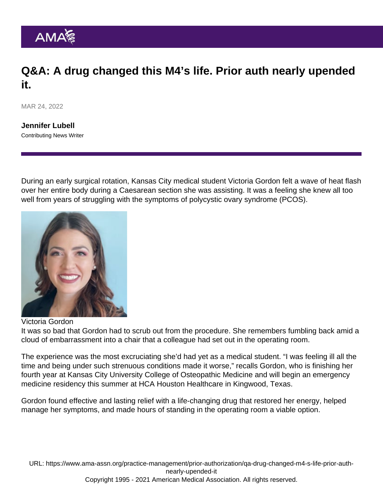## Q&A: A drug changed this M4's life. Prior auth nearly upended it.

MAR 24, 2022

[Jennifer Lubell](https://www.ama-assn.org/news-leadership-viewpoints/authors-news-leadership-viewpoints/jennifer-lubell) Contributing News Writer

During an early surgical rotation, Kansas City medical student Victoria Gordon felt a wave of heat flash over her entire body during a Caesarean section she was assisting. It was a feeling she knew all too well from years of struggling with the symptoms of polycystic ovary syndrome (PCOS).

## Victoria Gordon

It was so bad that Gordon had to scrub out from the procedure. She remembers fumbling back amid a cloud of embarrassment into a chair that a colleague had set out in the operating room.

The experience was the most excruciating she'd had yet as a medical student. "I was feeling ill all the time and being under such strenuous conditions made it worse," recalls Gordon, who is finishing her fourth year at Kansas City University College of Osteopathic Medicine and will begin an emergency medicine residency this summer at HCA Houston Healthcare in Kingwood, Texas.

Gordon found effective and lasting relief with a life-changing drug that restored her energy, helped manage her symptoms, and made hours of standing in the operating room a viable option.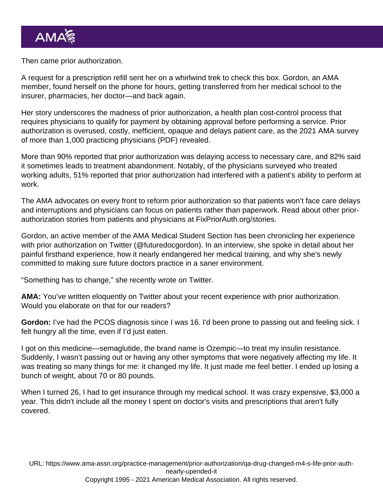Then came [prior authorization](https://www.ama-assn.org/amaone/prior-authorization).

A request for a prescription refill sent her on a whirlwind trek to check this box. Gordon, an AMA member, found herself on the phone for hours, getting transferred from her medical school to the insurer, pharmacies, her doctor—and back again.

Her story underscores the madness of prior authorization, a health plan cost-control process that requires physicians to qualify for payment by obtaining approval before performing a service. Prior authorization is overused, costly, inefficient, opaque and delays patient care, as the [2021 AMA survey](https://www.ama-assn.org/system/files/prior-authorization-survey.pdf) [of more than 1,000 practicing physicians](https://www.ama-assn.org/system/files/prior-authorization-survey.pdf) (PDF) revealed.

More than 90% reported that prior authorization was delaying access to necessary care, and 82% said it sometimes leads to treatment abandonment. Notably, of the physicians surveyed who treated working adults, 51% reported that prior authorization had interfered with a patient's ability to perform at work.

The AMA advocates on every front to [reform prior authorization](https://www.ama-assn.org/practice-management/sustainability/prior-authorization) so that patients won't face care delays and interruptions and physicians can focus on patients rather than paperwork. Read about other priorauthorization stories from patients and physicians at [FixPriorAuth.org/stories.](https://fixpriorauth.org/stories)

Gordon, an active member of the [AMA Medical Student Section](https://www.ama-assn.org/member-groups-sections/medical-students) has been chronicling her experience with prior authorization on Twitter [\(@futuredocgordon\)](https://twitter.com/futuredocgordon). In an interview, she spoke in detail about her painful firsthand experience, how it nearly endangered her medical training, and why she's newly committed to making sure future doctors practice in a saner environment.

"Something has to change," she recently wrote on Twitter.

AMA: You've written eloquently on Twitter about your recent experience with prior authorization. Would you elaborate on that for our readers?

Gordon: I've had the PCOS diagnosis since I was 16. I'd been prone to passing out and feeling sick. I felt hungry all the time, even if I'd just eaten.

I got on this medicine—semaglutide, the brand name is Ozempic—to treat my insulin resistance. Suddenly, I wasn't passing out or having any other symptoms that were negatively affecting my life. It was treating so many things for me: it changed my life. It just made me feel better. I ended up losing a bunch of weight, about 70 or 80 pounds.

When I turned 26, I had to get insurance through my medical school. It was crazy expensive, \$3,000 a year. This didn't include all the money I spent on doctor's visits and prescriptions that aren't fully covered.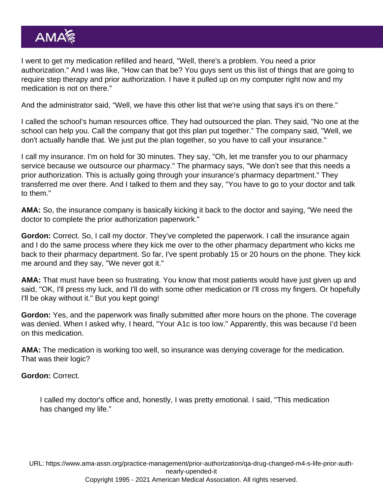I went to get my medication refilled and heard, "Well, there's a problem. You need a prior authorization." And I was like, "How can that be? You guys sent us this list of things that are going to require step therapy and prior authorization. I have it pulled up on my computer right now and my medication is not on there."

And the administrator said, "Well, we have this other list that we're using that says it's on there."

I called the school's human resources office. They had outsourced the plan. They said, "No one at the school can help you. Call the company that got this plan put together." The company said, "Well, we don't actually handle that. We just put the plan together, so you have to call your insurance."

I call my insurance. I'm on hold for 30 minutes. They say, "Oh, let me transfer you to our pharmacy service because we outsource our pharmacy." The pharmacy says, "We don't see that this needs a prior authorization. This is actually going through your insurance's pharmacy department." They transferred me over there. And I talked to them and they say, "You have to go to your doctor and talk to them."

AMA: So, the insurance company is basically kicking it back to the doctor and saying, "We need the doctor to complete the prior authorization paperwork."

Gordon: Correct. So, I call my doctor. They've completed the paperwork. I call the insurance again and I do the same process where they kick me over to the other pharmacy department who kicks me back to their pharmacy department. So far, I've spent probably 15 or 20 hours on the phone. They kick me around and they say, "We never got it."

AMA: That must have been so frustrating. You know that most patients would have just given up and said, "OK, I'll press my luck, and I'll do with some other medication or I'll cross my fingers. Or hopefully I'll be okay without it." But you kept going!

Gordon: Yes, and the paperwork was finally submitted after more hours on the phone. The coverage was denied. When I asked why, I heard, "Your A1c is too low." Apparently, this was because I'd been on this medication.

AMA: The medication is working too well, so insurance was denying coverage for the medication. That was their logic?

Gordon: Correct.

I called my doctor's office and, honestly, I was pretty emotional. I said, "This medication has changed my life."

URL: [https://www.ama-assn.org/practice-management/prior-authorization/qa-drug-changed-m4-s-life-prior-auth](https://www.ama-assn.org/practice-management/prior-authorization/qa-drug-changed-m4-s-life-prior-auth-nearly-upended-it)[nearly-upended-it](https://www.ama-assn.org/practice-management/prior-authorization/qa-drug-changed-m4-s-life-prior-auth-nearly-upended-it)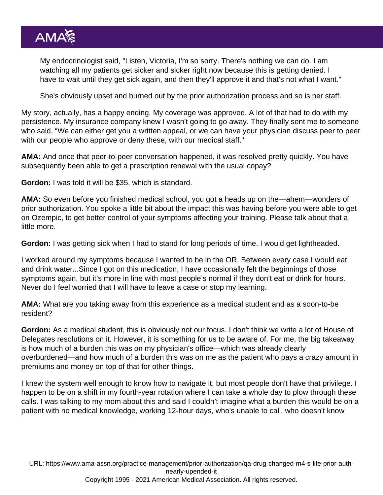My endocrinologist said, "Listen, Victoria, I'm so sorry. There's nothing we can do. I am watching all my patients get sicker and sicker right now because this is getting denied. I have to wait until they get sick again, and then they'll approve it and that's not what I want."

She's obviously upset and burned out by the prior authorization process and so is her staff.

My story, actually, has a happy ending. My coverage was approved. A lot of that had to do with my persistence. My insurance company knew I wasn't going to go away. They finally sent me to someone who said, "We can either get you a written appeal, or we can have your physician discuss peer to peer with our people who approve or deny these, with our medical staff."

AMA: And once that [peer-to-peer conversation happened](https://www.ama-assn.org/practice-management/sustainability/how-make-peer-peer-prior-authorization-talks-more-effective), it was resolved pretty quickly. You have subsequently been able to get a prescription renewal with the usual copay?

Gordon: I was told it will be \$35, which is standard.

AMA: So even before you finished medical school, you got a heads up on the—ahem—wonders of prior authorization. You spoke a little bit about the impact this was having before you were able to get on Ozempic, to get better control of your symptoms affecting your training. Please talk about that a little more.

Gordon: I was getting sick when I had to stand for long periods of time. I would get lightheaded.

I worked around my symptoms because I wanted to be in the OR. Between every case I would eat and drink water...Since I got on this medication, I have occasionally felt the beginnings of those symptoms again, but it's more in line with most people's normal if they don't eat or drink for hours. Never do I feel worried that I will have to leave a case or stop my learning.

AMA: What are you taking away from this experience as a medical student and as a soon-to-be resident?

Gordon: As a medical student, this is obviously not our focus. I don't think we write a lot of [House of](https://www.ama-assn.org/house-delegates) [Delegates](https://www.ama-assn.org/house-delegates) resolutions on it. However, it is something for us to be aware of. For me, the big takeaway is how much of a burden this was on my physician's office—which was already clearly overburdened—and how much of a burden this was on me as the patient who pays a crazy amount in premiums and money on top of that for other things.

I knew the system well enough to know how to navigate it, but most people don't have that privilege. I happen to be on a shift in my fourth-year rotation where I can take a whole day to plow through these calls. I was talking to my mom about this and said I couldn't imagine what a burden this would be on a patient with no medical knowledge, working 12-hour days, who's unable to call, who doesn't know